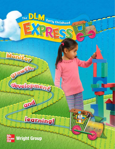



ond

Montton

## Teaming

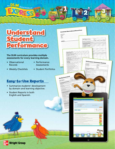

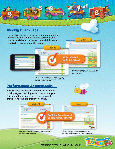

MHEonline.com • 1.800.334.7344